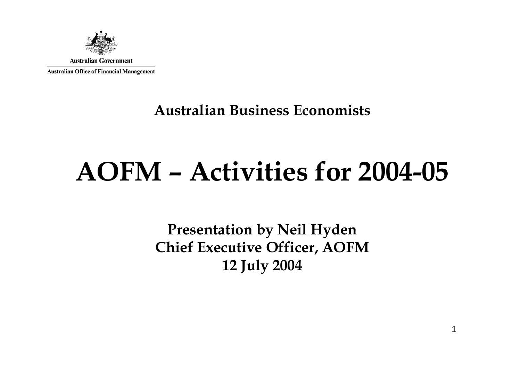

#### **Australian Business Economists**

# **AOFM – Activities for 2004-05**

**Presentation by Neil Hyden Chief Executive Officer, AOFM 12 July 2004**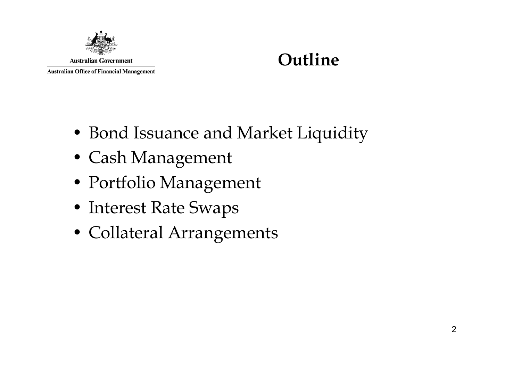

#### **Outline**

- Bond Issuance and Market Liquidity
- Cash Management
- Portfolio Management
- Interest Rate Swaps
- Collateral Arrangements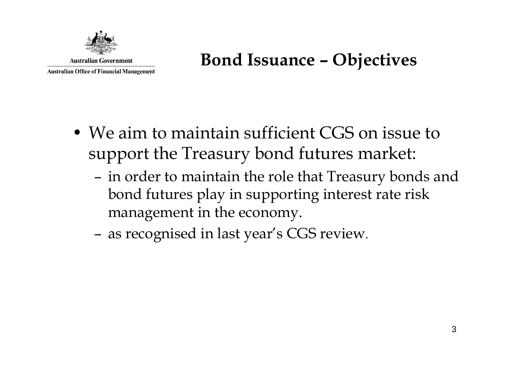

#### **Bond Issuance – Objectives**

- We aim to maintain sufficient CGS on issue to support the Treasury bond futures market:
	- – in order to maintain the role that Treasury bonds and bond futures play in supporting interest rate risk management in the economy.
	- –as recognised in last year's CGS review.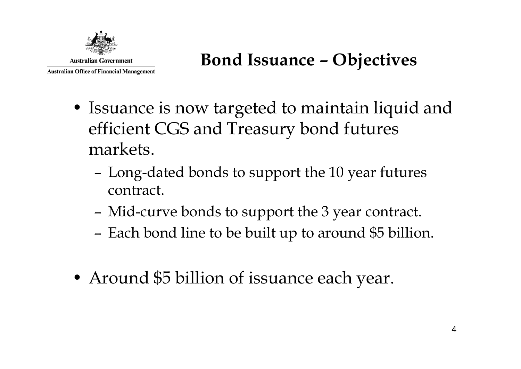

#### **Bond Issuance – Objectives**

- Issuance is now targeted to maintain liquid and efficient CGS and Treasury bond futures markets.
	- – Long-dated bonds to support the 10 year futures contract.
	- –Mid-curve bonds to support the 3 year contract.
	- –Each bond line to be built up to around \$5 billion.
- Around \$5 billion of issuance each year.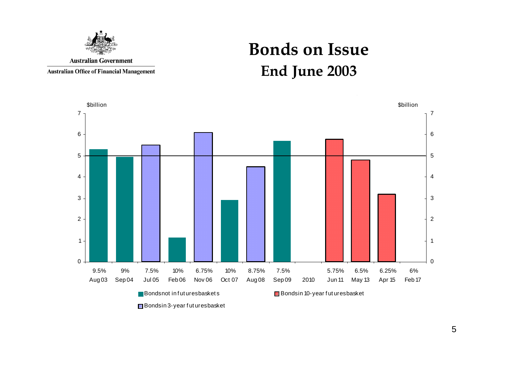

**Australian Office of Financial Management** 

## **Bonds on Issue End June 2003**

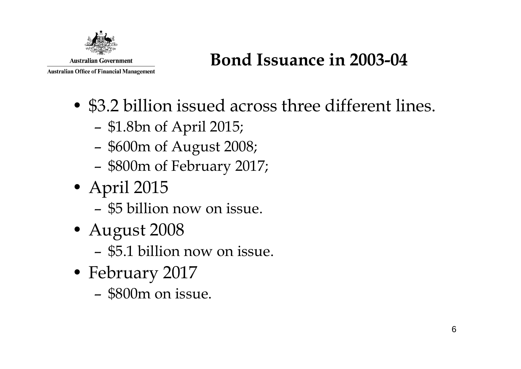

#### **Bond Issuance in 2003-04**

- \$3.2 billion issued across three different lines.
	- –\$1.8bn of April 2015;
	- –\$600m of August 2008;
	- –\$800m of February 2017;
- April 2015
	- \$5 billion now on issue.
- August 2008
	- \$5.1 billion now on issue.
- February 2017
	- \$800m on issue.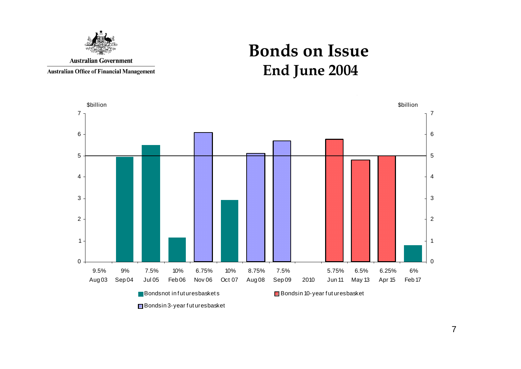

**Australian Office of Financial Management** 

#### **Bonds on Issue End June 2004**

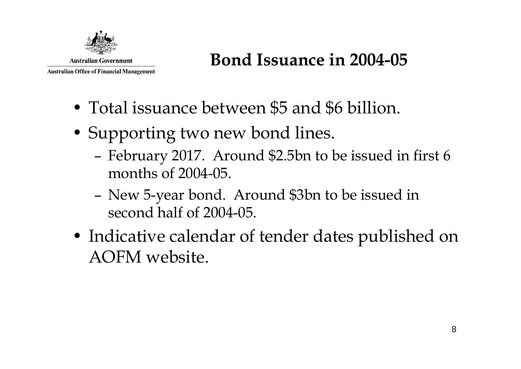

#### **Bond Issuance in 2004-05**

- Total issuance between \$5 and \$6 billion.
- Supporting two new bond lines.
	- – February 2017. Around \$2.5bn to be issued in first 6 months of 2004-05.
	- – New 5-year bond. Around \$3bn to be issued in second half of 2004-05.
- Indicative calendar of tender dates published on AOFM website.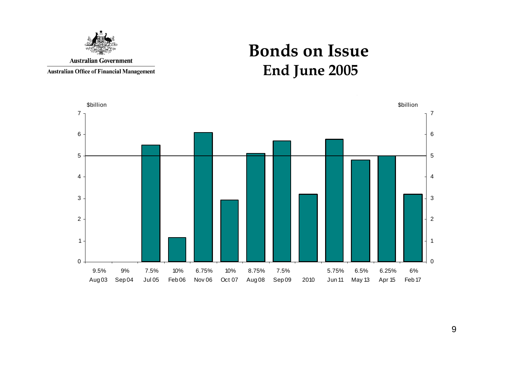

**Australian Office of Financial Management** 

#### **Bonds on Issue End June 2005**



9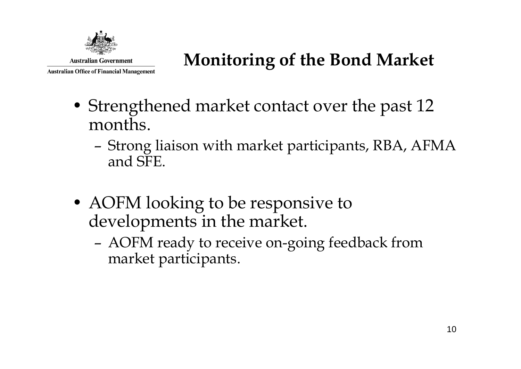

# **Monitoring of the Bond Market**

- Strengthened market contact over the past 12 months.
	- – Strong liaison with market participants, RBA, AFMA and SFE.
- AOFM looking to be responsive to developments in the market.
	- – AOFM ready to receive on-going feedback from market participants.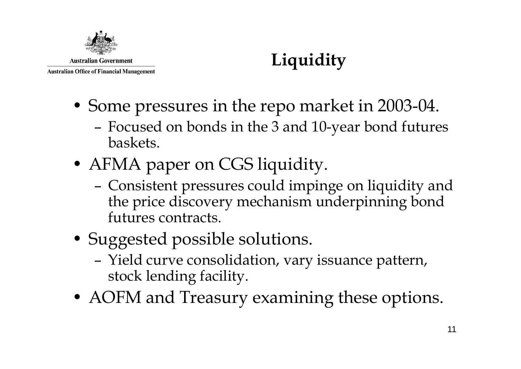

# **Liquidity**

- Some pressures in the repo market in 2003-04.
	- – Focused on bonds in the 3 and 10-year bond futures baskets.
- AFMA paper on CGS liquidity.
	- – Consistent pressures could impinge on liquidity and the price discovery mechanism underpinning bond futures contracts.
- Suggested possible solutions.
	- – Yield curve consolidation, vary issuance pattern, stock lending facility.
- AOFM and Treasury examining these options.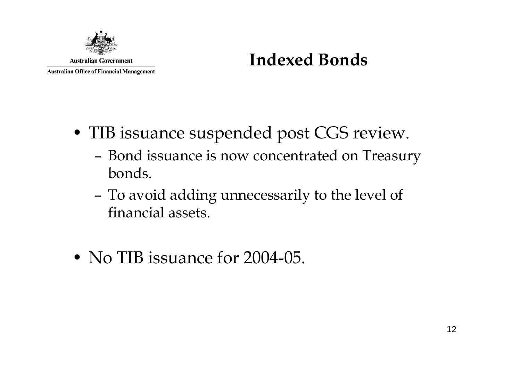

#### **Indexed Bonds**

- TIB issuance suspended post CGS review.
	- – Bond issuance is now concentrated on Treasury bonds.
	- – To avoid adding unnecessarily to the level of financial assets.
- No TIB issuance for 2004-05.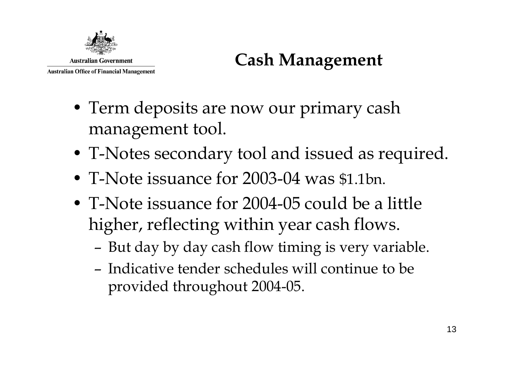

# **Cash Management**

- Term deposits are now our primary cash management tool.
- T-Notes secondary tool and issued as required.
- T-Note issuance for 2003-04 was \$1.1bn.
- T-Note issuance for 2004-05 could be a little higher, reflecting within year cash flows.
	- –But day by day cash flow timing is very variable.
	- Indicative tender schedules will continue to be provided throughout 2004-05.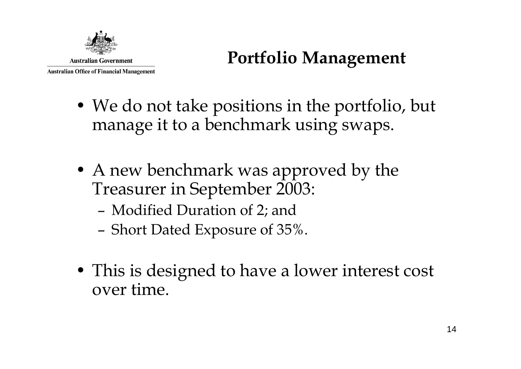

- We do not take positions in the portfolio, but manage it to a benchmark using swaps.
- A new benchmark was approved by the Treasurer in September 2003:
	- –Modified Duration of 2; and
	- –Short Dated Exposure of 35%.
- This is designed to have a lower interest cost over time.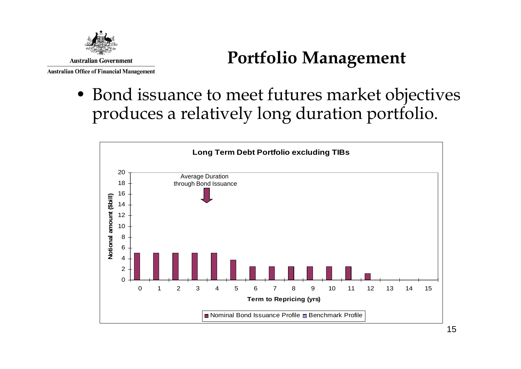

**Australian Office of Financial Management** 

• Bond issuance to meet futures market objectives produces a relatively long duration portfolio.

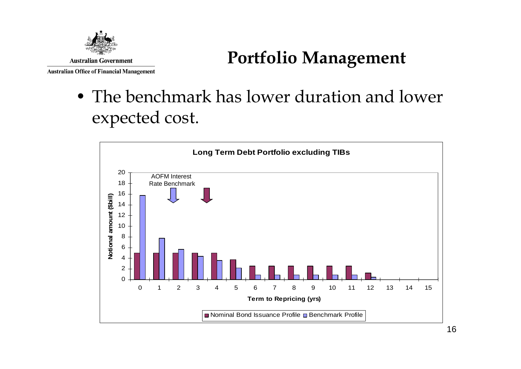

**Australian Office of Financial Management** 

• The benchmark has lower duration and lower expected cost.

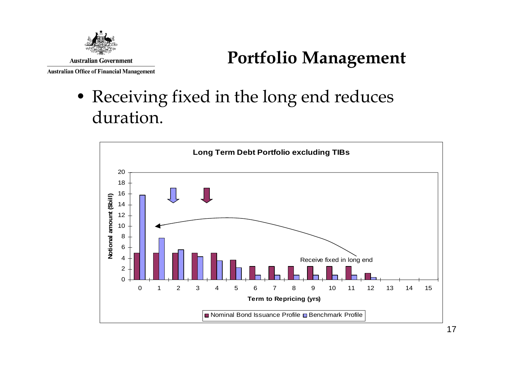

• Receiving fixed in the long end reduces duration.

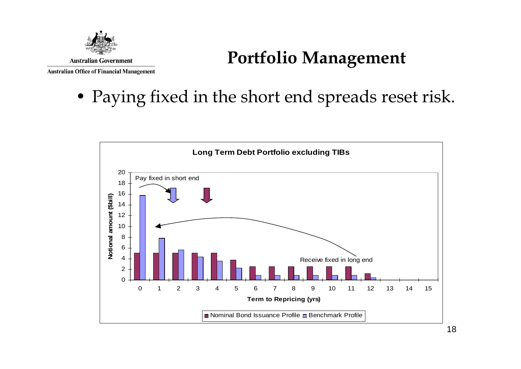

#### **Australian Office of Financial Management**

#### **Portfolio Management**

• Paying fixed in the short end spreads reset risk.

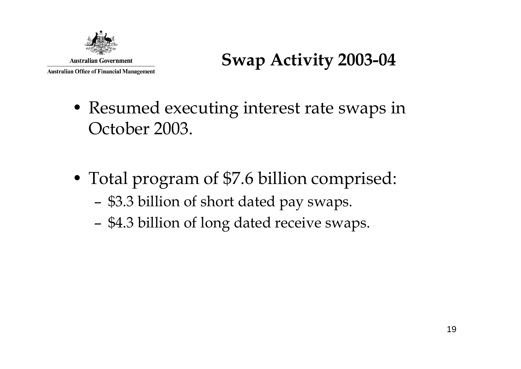

## **Swap Activity 2003-04**

- Resumed executing interest rate swaps in October 2003.
- Total program of \$7.6 billion comprised:
	- –\$3.3 billion of short dated pay swaps.
	- –\$4.3 billion of long dated receive swaps.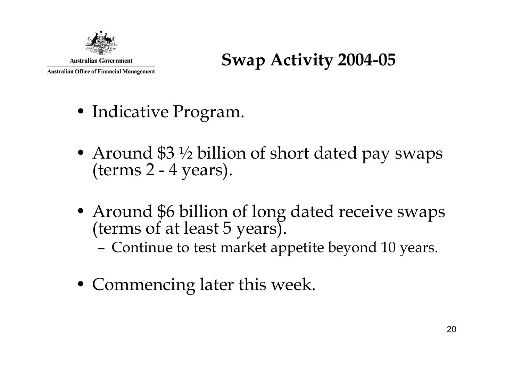

#### **Swap Activity 2004-05**

- Indicative Program.
- Around \$3 ½ billion of short dated pay swaps (terms 2 4 years).
- Around \$6 billion of long dated receive swaps (terms of at least 5 years).
	- –Continue to test market appetite beyond 10 years.
- Commencing later this week.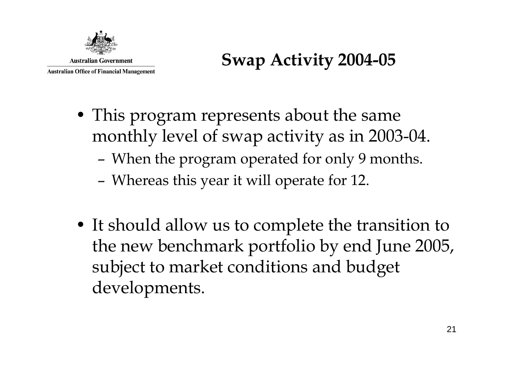

#### **Swap Activity 2004-05**

- This program represents about the same monthly level of swap activity as in 2003-04.
	- –When the program operated for only 9 months.
	- –Whereas this year it will operate for 12.
- It should allow us to complete the transition to the new benchmark portfolio by end June 2005, subject to market conditions and budget developments.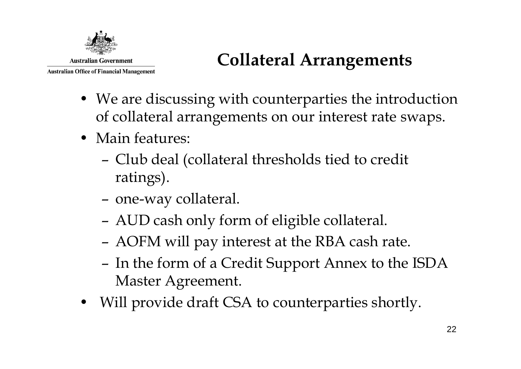

# **Collateral Arrangements**

- We are discussing with counterparties the introduction of collateral arrangements on our interest rate swaps.
- Main features:
	- – Club deal (collateral thresholds tied to credit ratings).
	- –one-way collateral.
	- –AUD cash only form of eligible collateral.
	- –AOFM will pay interest at the RBA cash rate.
	- – In the form of a Credit Support Annex to the ISDA Master Agreement.
- Will provide draft CSA to counterparties shortly.